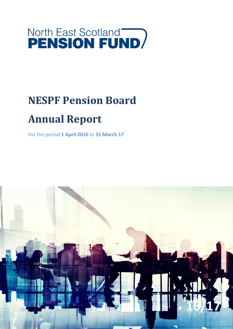## **North East Scotland<br>PENSION FUND**

## **NESPF Pension Board**

### **Annual Report**

For the period **1 April 2016** to **31 March 17**

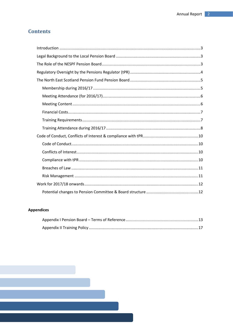#### **Contents**

#### **Appendices**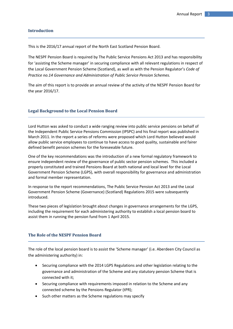#### <span id="page-2-0"></span>**Introduction**

This is the 2016/17 annual report of the North East Scotland Pension Board.

The NESPF Pension Board is required by The Public Service Pensions Act 2013 and has responsibility for 'assisting the Scheme manager' in securing compliance with all relevant regulations in respect of the Local Government Pension Scheme (Scotland), as well as with the Pension Regulator's *Code of Practice no.14 Governance and Administration of Public Service Pension Schemes.*

The aim of this report is to provide an annual review of the activity of the NESPF Pension Board for the year 2016/17.

#### <span id="page-2-1"></span>**Legal Background to the Local Pension Board**

Lord Hutton was asked to conduct a wide ranging review into public service pensions on behalf of the Independent Public Service Pensions Commission (IPSPC) and his final report was published in March 2011. In the report a series of reforms were proposed which Lord Hutton believed would allow public service employees to continue to have access to good quality, sustainable and fairer defined benefit pension schemes for the foreseeable future.

One of the key recommendations was the introduction of a new formal regulatory framework to ensure independent review of the governance of public sector pension schemes. This included a properly constituted and trained Pensions Board at both national and local level for the Local Government Pension Scheme (LGPS), with overall responsibility for governance and administration and formal member representation.

In response to the report recommendations, The Public Service Pension Act 2013 and the Local Government Pension Scheme (Governance) (Scotland) Regulations 2015 were subsequently introduced.

These two pieces of legislation brought about changes in governance arrangements for the LGPS, including the requirement for each administering authority to establish a local pension board to assist them in running the pension fund from 1 April 2015.

#### <span id="page-2-2"></span>**The Role of the NESPF Pension Board**

The role of the local pension board is to assist the 'Scheme manager' (i.e. Aberdeen City Council as the administering authority) in:

- Securing compliance with the 2014 LGPS Regulations and other legislation relating to the governance and administration of the Scheme and any statutory pension Scheme that is connected with it;
- Securing compliance with requirements imposed in relation to the Scheme and any connected scheme by the Pensions Regulator (tPR);
- Such other matters as the Scheme regulations may specify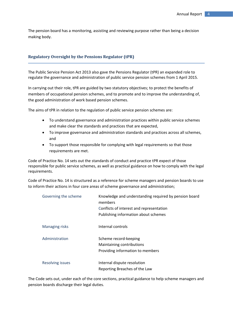The pension board has a monitoring, assisting and reviewing purpose rather than being a decision making body.

#### <span id="page-3-0"></span>**Regulatory Oversight by the Pensions Regulator (tPR)**

The Public Service Pension Act 2013 also gave the Pensions Regulator (tPR) an expanded role to regulate the governance and administration of public service pension schemes from 1 April 2015.

In carrying out their role, tPR are guided by two statutory objectives; to protect the benefits of members of occupational pension schemes, and to promote and to improve the understanding of, the good administration of work based pension schemes.

The aims of tPR in relation to the regulation of public service pension schemes are:

- To understand governance and administration practices within public service schemes and make clear the standards and practices that are expected,
- To improve governance and administration standards and practices across all schemes, and
- To support those responsible for complying with legal requirements so that those requirements are met.

Code of Practice No. 14 sets out the standards of conduct and practice tPR expect of those responsible for public service schemes, as well as practical guidance on how to comply with the legal requirements.

Code of Practice No. 14 is structured as a reference for scheme managers and pension boards to use to inform their actions in four core areas of scheme governance and administration;

| Governing the scheme    | Knowledge and understanding required by pension board<br>members<br>Conflicts of interest and representation<br>Publishing information about schemes |
|-------------------------|------------------------------------------------------------------------------------------------------------------------------------------------------|
| <b>Managing risks</b>   | Internal controls                                                                                                                                    |
| Administration          | Scheme record-keeping<br>Maintaining contributions<br>Providing information to members                                                               |
| <b>Resolving issues</b> | Internal dispute resolution<br>Reporting Breaches of the Law                                                                                         |

The Code sets out, under each of the core sections, practical guidance to help scheme managers and pension boards discharge their legal duties.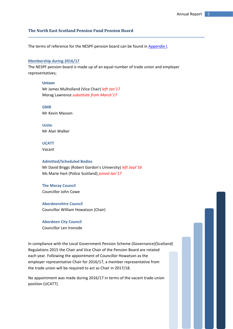#### <span id="page-4-0"></span>**The North East Scotland Pension Fund Pension Board**

The terms of reference for the NESPF pension board can be found in [Appendix](#page-12-0) I.

#### <span id="page-4-1"></span>**Membership during 2016/17**

The NESPF pension board is made up of an equal number of trade union and employer representatives;

#### **Unison**

Mr James Mulholland (Vice Chair) *left Jan'17* Morag Lawrence *substitute from March'17*

**GMB** Mr Kevin Masson

**Unite** Mr Alan Walker

#### **UCATT**

Vacant

#### **Admitted/Scheduled Bodies**

Mr David Briggs (Robert Gordon's University) *left Sept'16* Ms Marie Hart (Police Scotland) *joined Jan'17*

#### **The Moray Council**

Councillor John Cowe

#### **Aberdeenshire Council**

Councillor William Howatson (Chair)

#### **Aberdeen City Council**

Councillor Len Ironside

In compliance with the Local Government Pension Scheme (Governance)(Scotland) Regulations 2015 the Chair and Vice Chair of the Pension Board are rotated each year. Following the appointment of Councillor Howatson as the employer representative Chair for 2016/17, a member representative from the trade union will be required to act as Chair in 2017/18.

No appointment was made during 2016/17 in terms of the vacant trade union position (UCATT).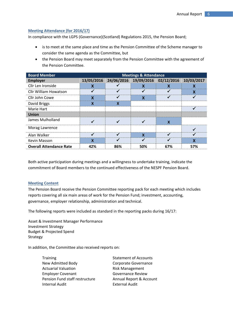#### <span id="page-5-0"></span>**Meeting Attendance (for 2016/17)**

In compliance with the LGPS (Governance)(Scotland) Regulations 2015, the Pension Board;

- is to meet at the same place and time as the Pension Committee of the Scheme manager to consider the same agenda as the Committee, but
- the Pension Board may meet separately from the Pension Committee with the agreement of the Pension Committee.

| <b>Board Member</b>            | <b>Meetings &amp; Attendance</b> |     |     |                                  |            |
|--------------------------------|----------------------------------|-----|-----|----------------------------------|------------|
| <b>Employer</b>                | 13/05/2016                       |     |     | 24/06/2016 19/09/2016 02/12/2016 | 10/03/2017 |
| Cllr Len Ironside              |                                  |     |     |                                  |            |
| <b>Cllr William Howatson</b>   |                                  |     |     |                                  | x          |
| Cllr John Cowe                 | χ                                |     | x   |                                  |            |
| David Briggs                   | x                                | x   |     |                                  |            |
| Marie Hart                     |                                  |     |     |                                  |            |
| <b>Union</b>                   |                                  |     |     |                                  |            |
| James Mulholland               |                                  |     |     | X                                |            |
| Morag Lawrence                 |                                  |     |     |                                  |            |
| Alan Walker                    |                                  |     | x   |                                  |            |
| Kevin Masson                   | X                                |     |     |                                  | χ          |
| <b>Overall Attendance Rate</b> | 42%                              | 86% | 50% | 67%                              | 57%        |

Both active participation during meetings and a willingness to undertake training, indicate the commitment of Board members to the continued effectiveness of the NESPF Pension Board.

#### <span id="page-5-1"></span>**Meeting Content**

The Pension Board receive the Pension Committee reporting pack for each meeting which includes reports covering all six main areas of work for the Pension Fund; investment, accounting, governance, employer relationship, administration and technical.

The following reports were included as standard in the reporting packs during 16/17:

Asset & Investment Manager Performance Investment Strategy Budget & Projected Spend Strategy

In addition, the Committee also received reports on:

Training Training Statement of Accounts New Admitted Body **Corporate Governance** Actuarial Valuation **Risk Management** Employer Covenant Governance Review Pension Fund staff restructure Annual Report & Account Internal Audit External Audit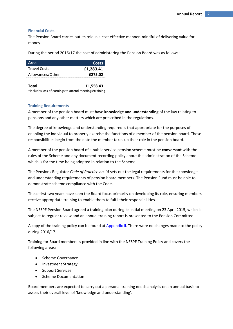#### <span id="page-6-0"></span>**Financial Costs**

The Pension Board carries out its role in a cost effective manner, mindful of delivering value for money.

During the period 2016/17 the cost of administering the Pension Board was as follows:

| Area                | Costs     |
|---------------------|-----------|
| <b>Travel Costs</b> | £1,283.41 |
| Allowances/Other    | £275.02   |
|                     |           |
| Total               | £1,558.43 |

\*includes loss of earnings to attend meetings/training

#### <span id="page-6-1"></span>**Training Requirements**

A member of the pension board must have **knowledge and understanding** of the law relating to pensions and any other matters which are prescribed in the regulations.

The degree of knowledge and understanding required is that appropriate for the purposes of enabling the individual to properly exercise the functions of a member of the pension board. These responsibilities begin from the date the member takes up their role in the pension board.

A member of the pension board of a public service pension scheme must be **conversant** with the rules of the Scheme and any document recording policy about the administration of the Scheme which is for the time being adopted in relation to the Scheme.

The Pensions Regulator *Code of Practice no.14* sets out the legal requirements for the knowledge and understanding requirements of pension board members. The Pension Fund must be able to demonstrate scheme compliance with the Code.

These first two years have seen the Board focus primarily on developing its role, ensuring members receive appropriate training to enable them to fulfil their responsibilities.

The NESPF Pension Board agreed a training plan during its initial meeting on 23 April 2015, which is subject to regular review and an annual training report is presented to the Pension Committee.

A copy of the training policy can be found at [Appendix](#page-15-0) II. There were no changes made to the policy during 2016/17.

Training for Board members is provided in line with the NESPF Training Policy and covers the following areas:

- Scheme Governance
- Investment Strategy
- Support Services
- Scheme Documentation

Board members are expected to carry out a personal training needs analysis on an annual basis to assess their overall level of 'knowledge and understanding'.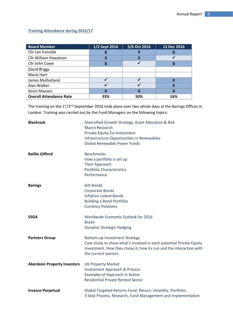#### <span id="page-7-0"></span>**Training Attendance during 2016/17**

| <b>Board Member</b>            | 1/2 Sept 2016 | 5/6 Oct 2016 | 12 Dec 2016 |
|--------------------------------|---------------|--------------|-------------|
| Cllr Len Ironside              |               |              |             |
| <b>Cllr William Howatson</b>   |               |              |             |
| Cllr John Cowe                 |               |              |             |
| David Briggs                   |               |              |             |
| Marie Hart                     |               |              |             |
| James Mulholland               |               |              |             |
| Alan Walker                    |               |              |             |
| Kevin Masson                   |               |              |             |
| <b>Overall Attendance Rate</b> |               |              |             |

The training on the 1<sup>st</sup>/2<sup>nd</sup> September 2016 took place over two whole days at the Barings Offices in London. Training was carried out by the Fund Managers on the following topics:

| <b>Blackrock</b>                   | Diversified Growth Strategy, Asset Allocation & Risk<br><b>Macro Research</b><br>Private Equity Co-Investment<br>Infrastructure Opportunities in Renewables<br><b>Global Renewable Power Funds</b>        |
|------------------------------------|-----------------------------------------------------------------------------------------------------------------------------------------------------------------------------------------------------------|
| <b>Baillie Gifford</b>             | <b>Benchmarks</b><br>How a portfolio is set up<br><b>Their Approach</b><br><b>Portfolio Characteristics</b><br>Performance                                                                                |
| <b>Barings</b>                     | <b>Gilt Bonds</b><br><b>Corporate Bonds</b><br><b>Inflation Linked Bonds</b><br><b>Building a Bond Portfolio</b><br><b>Currency Positions</b>                                                             |
| <b>SSGA</b>                        | Worldwide Economic Outlook for 2016<br><b>Brexit</b><br><b>Dynamic Strategic Hedging</b>                                                                                                                  |
| <b>Partners Group</b>              | <b>Bottom-up Investment Strategy</b><br>Case study to show what's involved in each potential Private Equity<br>investment. How they chose it, how its run and the interaction with<br>the current owners. |
| <b>Aberdeen Property Investors</b> | <b>UK Property Market</b><br><b>Investment Approach &amp; Process</b><br>Examples of Approach in Action<br><b>Residential Private Rented Sector</b>                                                       |
| <b>Invesco Perpetual</b>           | Global Targeted Returns Fund. Return, Volatility, Portfolio.<br>3 Step Process, Research, Fund Management and Implementation                                                                              |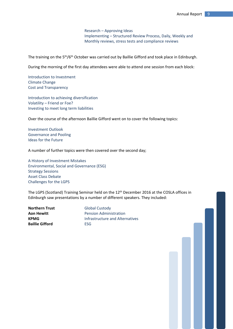Research – Approving Ideas Implementing – Structured Review Process, Daily, Weekly and Monthly reviews, stress tests and compliance reviews

The training on the 5<sup>th</sup>/6<sup>th</sup> October was carried out by Baillie Gifford and took place in Edinburgh.

During the morning of the first day attendees were able to attend one session from each block:

Introduction to Investment Climate Change Cost and Transparency

Introduction to achieving diversification Volatility – Friend or Foe? Investing to meet long term liabilities

Over the course of the afternoon Baillie Gifford went on to cover the following topics:

Investment Outlook Governance and Pooling Ideas for the Future

A number of further topics were then covered over the second day;

A History of Investment Mistakes Environmental, Social and Governance (ESG) Strategy Sessions Asset Class Debate Challenges for the LGPS

The LGPS (Scotland) Training Seminar held on the 12th December 2016 at the COSLA offices in Edinburgh saw presentations by a number of different speakers. They included:

**Northern Trust Global Custody Baillie Gifford** ESG

<span id="page-8-0"></span>**Aon Hewitt** Pension Administration **KPMG Infrastructure and Alternatives**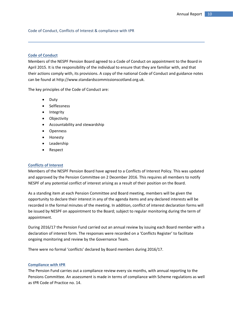#### Code of Conduct, Conflicts of Interest & compliance with tPR

#### <span id="page-9-0"></span>**Code of Conduct**

Members of the NESPF Pension Board agreed to a Code of Conduct on appointment to the Board in April 2015. It is the responsibility of the individual to ensure that they are familiar with, and that their actions comply with, its provisions. A copy of the national Code of Conduct and guidance notes can be found at http://www.standardscommissionscotland.org.uk.

The key principles of the Code of Conduct are:

- Duty
- **•** Selflessness
- Integrity
- Objectivity
- Accountability and stewardship
- Openness
- Honesty
- Leadership
- Respect

#### <span id="page-9-1"></span>**Conflicts of Interest**

Members of the NESPF Pension Board have agreed to a Conflicts of Interest Policy. This was updated and approved by the Pension Committee on 2 December 2016. This requires all members to notify NESPF of any potential conflict of interest arising as a result of their position on the Board.

As a standing item at each Pension Committee and Board meeting, members will be given the opportunity to declare their interest in any of the agenda items and any declared interests will be recorded in the formal minutes of the meeting. In addition, conflict of interest declaration forms will be issued by NESPF on appointment to the Board; subject to regular monitoring during the term of appointment.

During 2016/17 the Pension Fund carried out an annual review by issuing each Board member with a declaration of interest form. The responses were recorded on a 'Conflicts Register' to facilitate ongoing monitoring and review by the Governance Team.

There were no formal 'conflicts' declared by Board members during 2016/17.

#### <span id="page-9-2"></span>**Compliance with tPR**

The Pension Fund carries out a compliance review every six months, with annual reporting to the Pensions Committee. An assessment is made in terms of compliance with Scheme regulations as well as tPR Code of Practice no. 14.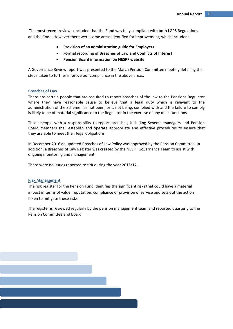The most recent review concluded that the Fund was fully compliant with both LGPS Regulations and the Code. However there were some areas identified for improvement, which included;

- **Provision of an administration guide for Employers**
- **Formal recording of Breaches of Law and Conflicts of Interest**
- **Pension Board information on NESPF website**

A Governance Review report was presented to the March Pension Committee meeting detailing the steps taken to further improve our compliance in the above areas.

#### <span id="page-10-0"></span>**Breaches of Law**

There are certain people that are required to report breaches of the law to the Pensions Regulator where they have reasonable cause to believe that a legal duty which is relevant to the administration of the Scheme has not been, or is not being, complied with and the failure to comply is likely to be of material significance to the Regulator in the exercise of any of its functions.

Those people with a responsibility to report breaches, including Scheme managers and Pension Board members shall establish and operate appropriate and effective procedures to ensure that they are able to meet their legal obligations.

In December 2016 an updated Breaches of Law Policy was approved by the Pension Committee. In addition, a Breaches of Law Register was created by the NESPF Governance Team to assist with ongoing monitoring and management.

There were no issues reported to tPR during the year 2016/17.

#### <span id="page-10-1"></span>**Risk Management**

The risk register for the Pension Fund identifies the significant risks that could have a material impact in terms of value, reputation, compliance or provision of service and sets out the action taken to mitigate these risks.

<span id="page-10-2"></span>The register is reviewed regularly by the pension management team and reported quarterly to the Pension Committee and Board.

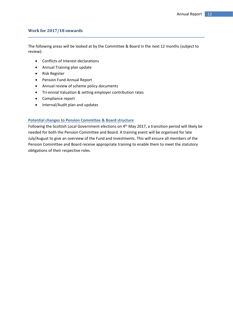#### **Work for 2017/18 onwards**

The following areas will be looked at by the Committee & Board in the next 12 months (subject to review):

- Conflicts of Interest declarations
- Annual Training plan update
- Risk Register
- Pension Fund Annual Report
- Annual review of scheme policy documents
- Tri-ennial Valuation & setting employer contribution rates
- Compliance report
- Internal/Audit plan and updates

#### <span id="page-11-0"></span>**Potential changes to Pension Committee & Board structure**

Following the Scottish Local Government elections on 4<sup>th</sup> May 2017, a transition period will likely be needed for both the Pension Committee and Board. A training event will be organised for late July/August to give an overview of the Fund and investments. This will ensure all members of the Pension Committee and Board receive appropriate training to enable them to meet the statutory obligations of their respective roles.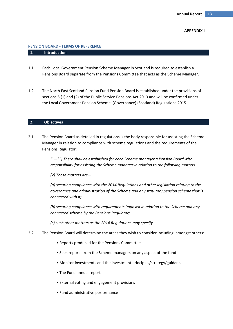#### **APPENDIX I**

#### <span id="page-12-0"></span>**PENSION BOARD - TERMS OF REFERENCE**

#### **1. Introduction**

- 1.1 Each Local Government Pension Scheme Manager in Scotland is required to establish a Pensions Board separate from the Pensions Committee that acts as the Scheme Manager.
- 1.2 The North East Scotland Pension Fund Pension Board is established under the provisions of sections 5 (1) and (2) of the Public Service Pensions Act 2013 and will be confirmed under the Local Government Pension Scheme (Governance) (Scotland) Regulations 2015.

#### **2. Objectives**

2.1 The Pension Board as detailed in regulations is the body responsible for assisting the Scheme Manager in relation to compliance with scheme regulations and the requirements of the Pensions Regulator:

> *5.—(1) There shall be established for each Scheme manager a Pension Board with responsibility for assisting the Scheme manager in relation to the following matters.*

*(2) Those matters are—*

*(a) securing compliance with the 2014 Regulations and other legislation relating to the governance and administration of the Scheme and any statutory pension scheme that is connected with it;*

*(b) securing compliance with requirements imposed in relation to the Scheme and any connected scheme by the Pensions Regulator;*

*(c) such other matters as the 2014 Regulations may specify*

- 2.2 The Pension Board will determine the areas they wish to consider including, amongst others:
	- Reports produced for the Pensions Committee
	- Seek reports from the Scheme managers on any aspect of the fund
	- Monitor investments and the investment principles/strategy/guidance
	- The Fund annual report
	- External voting and engagement provisions
	- Fund administrative performance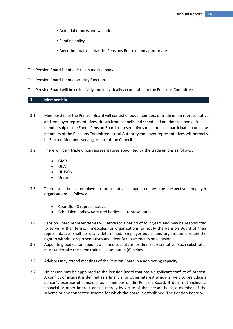- Actuarial reports and valuations
- Funding policy
- Any other matters that the Pensions Board deem appropriate

The Pension Board is not a decision making body.

The Pension Board is not a scrutiny function.

The Pension Board will be collectively and individually accountable to the Pensions Committee.

#### **3. Membership**

- 3.1 Membership of the Pension Board will consist of equal numbers of trade union representatives and employer representatives, drawn from councils and scheduled or admitted bodies in membership of the Fund. Pension Board representatives must not also participate in or act as members of the Pensions Committee. Local Authority employer representatives will normally be Elected Members serving as part of the Council.
- 3.2 There will be 4 trade union representatives appointed by the trade unions as follows:
	- GMB
	- UCATT
	- UNISON
	- Unite
- 3.3 There will be 4 employer representatives appointed by the respective employer organisations as follows:
	- Councils 3 representatives
	- Scheduled bodies/Admitted bodies 1 representative
- 3.4 Pension Board representatives will serve for a period of four years and may be reappointed to serve further terms. Timescales for organisations to notify the Pension Board of their representatives shall be locally determined. Employer bodies and organisations retain the right to withdraw representatives and identify replacements on occasion.
- 3.5 Appointing bodies can appoint a named substitute for their representative. Such substitutes must undertake the same training as set out in (6) below.
- 3.6 Advisors may attend meetings of the Pension Board in a non-voting capacity
- 3.7 No person may be appointed to the Pension Board that has a significant conflict of interest. A conflict of interest is defined as a financial or other interest which is likely to prejudice a person's exercise of functions as a member of the Pension Board. It does not include a financial or other interest arising merely by virtue of that person being a member of the scheme or any connected scheme for which the board is established. The Pension Board will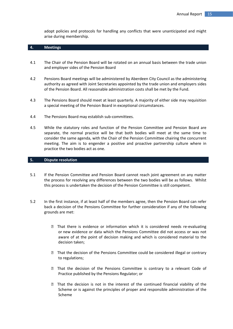adopt policies and protocols for handling any conflicts that were unanticipated and might arise during membership.

#### **4. Meetings**

- 4.1 The Chair of the Pension Board will be rotated on an annual basis between the trade union and employer sides of the Pension Board
- 4.2 Pensions Board meetings will be administered by Aberdeen City Council as the administering authority as agreed with Joint Secretaries appointed by the trade union and employers sides of the Pension Board. All reasonable administration costs shall be met by the Fund.
- 4.3 The Pensions Board should meet at least quarterly. A majority of either side may requisition a special meeting of the Pension Board in exceptional circumstances.
- 4.4 The Pensions Board may establish sub-committees.
- 4.5 While the statutory roles and function of the Pension Committee and Pension Board are separate, the normal practice will be that both bodies will meet at the same time to consider the same agenda, with the Chair of the Pension Committee chairing the concurrent meeting. The aim is to engender a positive and proactive partnership culture where in practice the two bodies act as one.

#### **5. Dispute resolution**

- 5.1 If the Pension Committee and Pension Board cannot reach joint agreement on any matter the process for resolving any differences between the two bodies will be as follows. Whilst this process is undertaken the decision of the Pension Committee is still competent.
- 5.2 In the first instance, if at least half of the members agree, then the Pension Board can refer back a decision of the Pensions Committee for further consideration if any of the following grounds are met:
	- That there is evidence or information which it is considered needs re-evaluating or new evidence or data which the Pensions Committee did not access or was not aware of at the point of decision making and which is considered material to the decision taken;
	- That the decision of the Pensions Committee could be considered illegal or contrary to regulations;
	- That the decision of the Pensions Committee is contrary to a relevant Code of Practice published by the Pensions Regulator; or
	- $\mathbb D$  That the decision is not in the interest of the continued financial viability of the Scheme or is against the principles of proper and responsible administration of the Scheme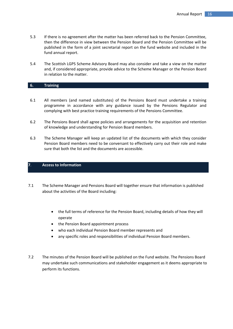- 5.3 If there is no agreement after the matter has been referred back to the Pension Committee, then the difference in view between the Pension Board and the Pension Committee will be published in the form of a joint secretarial report on the fund website and included in the fund annual report.
- 5.4 The Scottish LGPS Scheme Advisory Board may also consider and take a view on the matter and, if considered appropriate, provide advice to the Scheme Manager or the Pension Board in relation to the matter.

#### **6. Training**

- 6.1 All members (and named substitutes) of the Pensions Board must undertake a training programme in accordance with any guidance issued by the Pensions Regulator and complying with best practice training requirements of the Pensions Committee.
- 6.2 The Pensions Board shall agree policies and arrangements for the acquisition and retention of knowledge and understanding for Pension Board members.
- 6.3 The Scheme Manager will keep an updated list of the documents with which they consider Pension Board members need to be conversant to effectively carry out their role and make sure that both the list and the documents are accessible.

#### **7**. **Access to Information**

- 7.1 The Scheme Manager and Pensions Board will together ensure that information is published about the activities of the Board including:
	- the full terms of reference for the Pension Board, including details of how they will operate
	- the Pension Board appointment process
	- who each individual Pension Board member represents and
	- any specific roles and responsibilities of individual Pension Board members.
- <span id="page-15-0"></span>7.2 The minutes of the Pension Board will be published on the Fund website. The Pensions Board may undertake such communications and stakeholder engagement as it deems appropriate to perform its functions.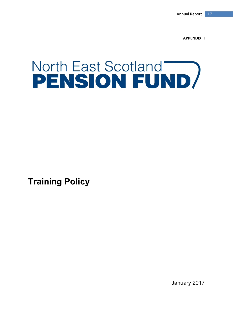<span id="page-16-0"></span>**APPENDIX II**

# North East Scotland<br>PENSION FUND

**Training Policy**

January 2017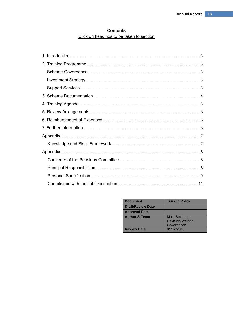#### **Contents** Click on headings to be taken to section

| <b>Document</b>          | <b>Training Policy</b>                             |
|--------------------------|----------------------------------------------------|
| <b>Draft/Review Date</b> |                                                    |
| <b>Approval Date</b>     |                                                    |
| <b>Author &amp; Team</b> | Mairi Suttie and<br>Hayleigh Weldon,<br>Governance |
| <b>Review Date</b>       | 01/02/2018                                         |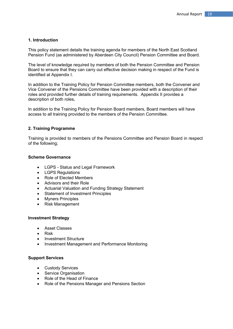#### <span id="page-18-0"></span>**1. Introduction**

This policy statement details the training agenda for members of the North East Scotland Pension Fund (as administered by Aberdeen City Council) Pension Committee and Board.

The level of knowledge required by members of both the Pension Committee and Pension Board to ensure that they can carry out effective decision making in respect of the Fund is identified at Appendix I.

In addition to the Training Policy for Pension Committee members, both the Convener and Vice Convener of the Pensions Committee have been provided with a description of their roles and provided further details of training requirements. Appendix II provides a description of both roles**.**

<span id="page-18-1"></span>In addition to the Training Policy for Pension Board members, Board members will have access to all training provided to the members of the Pension Committee.

#### **2. Training Programme**

Training is provided to members of the Pensions Committee and Pension Board in respect of the following;

#### <span id="page-18-2"></span>**Scheme Governance**

- LGPS Status and Legal Framework
- LGPS Regulations
- Role of Elected Members
- Advisors and their Role
- Actuarial Valuation and Funding Strategy Statement
- Statement of Investment Principles
- Myners Principles
- Risk Management

#### <span id="page-18-3"></span>**Investment Strategy**

- Asset Classes
- Risk
- Investment Structure
- Investment Management and Performance Monitoring

#### <span id="page-18-4"></span>**Support Services**

- Custody Services
- Service Organisation
- Role of the Head of Finance
- Role of the Pensions Manager and Pensions Section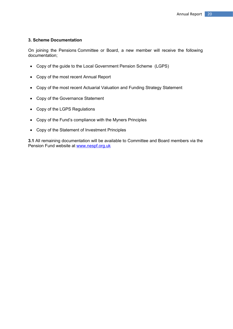#### <span id="page-19-0"></span>**3. Scheme Documentation**

On joining the Pensions Committee or Board, a new member will receive the following documentation;

- Copy of the guide to the Local Government Pension Scheme (LGPS)
- Copy of the most recent Annual Report
- Copy of the most recent Actuarial Valuation and Funding Strategy Statement
- Copy of the Governance Statement
- Copy of the LGPS Regulations
- Copy of the Fund's compliance with the Myners Principles
- Copy of the Statement of Investment Principles

**3.1** All remaining documentation will be available to Committee and Board members via the Pension Fund website at [www.nespf.org.uk](https://outlook.aberdeencity.gov.uk/owa/redir.aspx?SURL=LiefW53QPQbsL-G0XgYIeLYa1JQ1RgZR1hPtAy7PX-50S3nJGivTCGgAdAB0AHAAOgAvAC8AdwB3AHcALgBuAGUAcwBwAGYALgBvAHIAZwAuAHUAawA.&URL=http%3a%2f%2fwww.nespf.org.uk)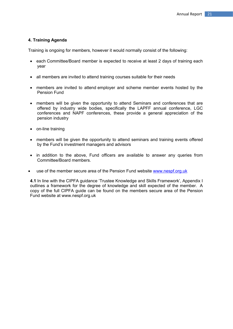#### <span id="page-20-0"></span>**4. Training Agenda**

Training is ongoing for members, however it would normally consist of the following:

- each Committee/Board member is expected to receive at least 2 days of training each year
- all members are invited to attend training courses suitable for their needs
- members are invited to attend employer and scheme member events hosted by the Pension Fund
- members will be given the opportunity to attend Seminars and conferences that are offered by industry wide bodies, specifically the LAPFF annual conference, LGC conferences and NAPF conferences, these provide a general appreciation of the pension industry
- on-line training
- members will be given the opportunity to attend seminars and training events offered by the Fund's investment managers and advisors
- in addition to the above, Fund officers are available to answer any queries from Committee/Board members.
- use of the member secure area of the Pension Fund website [www.nespf.org.uk](https://outlook.aberdeencity.gov.uk/owa/redir.aspx?SURL=LiefW53QPQbsL-G0XgYIeLYa1JQ1RgZR1hPtAy7PX-50S3nJGivTCGgAdAB0AHAAOgAvAC8AdwB3AHcALgBuAGUAcwBwAGYALgBvAHIAZwAuAHUAawA.&URL=http%3a%2f%2fwww.nespf.org.uk)

**4.1** In line with the CIPFA guidance 'Trustee Knowledge and Skills Framework', Appendix I outlines a framework for the degree of knowledge and skill expected of the member. A copy of the full CIPFA guide can be found on the members secure area of the Pension Fund website at [www.nespf.org.uk](https://outlook.aberdeencity.gov.uk/owa/redir.aspx?SURL=LiefW53QPQbsL-G0XgYIeLYa1JQ1RgZR1hPtAy7PX-50S3nJGivTCGgAdAB0AHAAOgAvAC8AdwB3AHcALgBuAGUAcwBwAGYALgBvAHIAZwAuAHUAawA.&URL=http%3a%2f%2fwww.nespf.org.uk)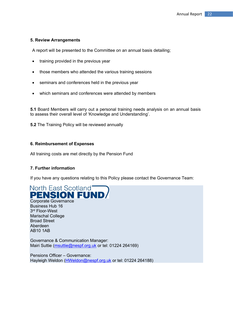#### <span id="page-21-0"></span>**5. Review Arrangements**

A report will be presented to the Committee on an annual basis detailing;

- training provided in the previous year
- those members who attended the various training sessions
- seminars and conferences held in the previous year
- which seminars and conferences were attended by members

**5.1** Board Members will carry out a personal training needs analysis on an annual basis to assess their overall level of 'Knowledge and Understanding'.

<span id="page-21-1"></span>**5.2** The Training Policy will be reviewed annually

#### **6. Reimbursement of Expenses**

<span id="page-21-2"></span>All training costs are met directly by the Pension Fund

#### **7. Further information**

If you have any questions relating to this Policy please contact the Governance Team:



AB10 1AB Governance & Communication Manager: Mairi Suttie [\(msuttie@nespf.org.uk](mailto:msuttie@nespf.org.uk) or tel: 01224 264169)

<span id="page-21-3"></span>Pensions Officer – Governance: Hayleigh Weldon [\(HWeldon@nespf.org.uk](mailto:HWeldon@nespf.org.uk) or tel: 01224 264188)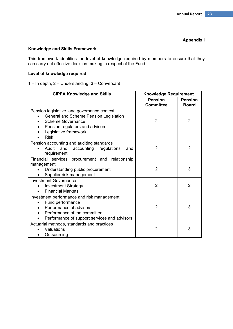#### <span id="page-22-1"></span>**Appendix I**

#### <span id="page-22-0"></span>**Knowledge and Skills Framework**

This framework identifies the level of knowledge required by members to ensure that they can carry out effective decision making in respect of the Fund.

#### **Level of knowledge required**

1 – In depth, 2 – Understanding, 3 – Conversant

| <b>CIPFA Knowledge and Skills</b>                                                                                                                                                           | <b>Knowledge Requirement</b>       |                                |
|---------------------------------------------------------------------------------------------------------------------------------------------------------------------------------------------|------------------------------------|--------------------------------|
|                                                                                                                                                                                             | <b>Pension</b><br><b>Committee</b> | <b>Pension</b><br><b>Board</b> |
| Pension legislative and governance context<br>General and Scheme Pension Legislation<br><b>Scheme Governance</b><br>Pension regulators and advisors<br>Legislative framework<br><b>Risk</b> | 2                                  | $\overline{2}$                 |
| Pension accounting and auditing standards<br>Audit<br>and<br>accounting<br>regulations<br>and<br>requirement                                                                                | $\mathcal{P}$                      | $\overline{2}$                 |
| Financial services procurement and relationship                                                                                                                                             |                                    |                                |
| management<br>Understanding public procurement<br>Supplier risk management                                                                                                                  | $\overline{2}$                     | 3                              |
| <b>Investment Governance</b><br><b>Investment Strategy</b><br><b>Financial Markets</b>                                                                                                      | $\overline{2}$                     | $\overline{2}$                 |
| Investment performance and risk management<br>Fund performance<br>Performance of advisors<br>Performance of the committee<br>Performance of support services and advisors                   | $\overline{2}$                     | 3                              |
| Actuarial methods, standards and practices<br>Valuations<br>Outsourcing                                                                                                                     | 2                                  | 3                              |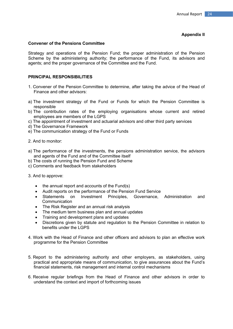#### **Appendix II**

#### <span id="page-23-0"></span>**Convener of the Pensions Committee**

Strategy and operations of the Pension Fund; the proper administration of the Pension Scheme by the administering authority; the performance of the Fund, its advisors and agents; and the proper governance of the Committee and the Fund.

#### <span id="page-23-1"></span>**PRINCIPAL RESPONSIBILITIES**

- 1. Convener of the Pension Committee to determine, after taking the advice of the Head of Finance and other advisors:
- a) The investment strategy of the Fund or Funds for which the Pension Committee is responsible
- b) The contribution rates of the employing organisations whose current and retired employees are members of the LGPS
- c) The appointment of investment and actuarial advisors and other third party services
- d) The Governance Framework
- e) The communication strategy of the Fund or Funds
- 2. And to monitor:
- a) The performance of the investments, the pensions administration service, the advisors and agents of the Fund and of the Committee itself
- b) The costs of running the Pension Fund and Scheme
- c) Comments and feedback from stakeholders
- 3. And to approve:
	- $\bullet$  the annual report and accounts of the Fund(s)
	- Audit reports on the performance of the Pension Fund Service
	- Statements on Investment Principles. Governance. Administration and **Communication**
	- The Risk Register and an annual risk analysis
	- The medium term business plan and annual updates
	- Training and development plans and updates
	- Discretions given by statute and regulation to the Pension Committee in relation to benefits under the LGPS
- 4. Work with the Head of Finance and other officers and advisors to plan an effective work programme for the Pension Committee
- 5. Report to the administering authority and other employers, as stakeholders, using practical and appropriate means of communication, to give assurances about the Fund's financial statements, risk management and internal control mechanisms
- 6. Receive regular briefings from the Head of Finance and other advisors in order to understand the context and import of forthcoming issues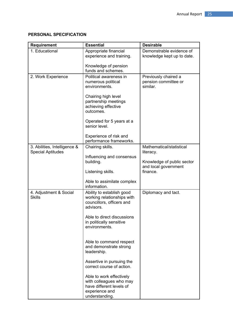#### <span id="page-24-0"></span>**PERSONAL SPECIFICATION**

| <b>Requirement</b>           | <b>Essential</b>                            | <b>Desirable</b>                 |
|------------------------------|---------------------------------------------|----------------------------------|
| 1. Educational               | Appropriate financial                       | Demonstrable evidence of         |
|                              | experience and training.                    | knowledge kept up to date.       |
|                              | Knowledge of pension                        |                                  |
|                              | funds and schemes.                          |                                  |
| 2. Work Experience           | Political awareness in                      | Previously chaired a             |
|                              | numerous political<br>environments.         | pension committee or<br>similar. |
|                              |                                             |                                  |
|                              | Chairing high level<br>partnership meetings |                                  |
|                              | achieving effective                         |                                  |
|                              | outcomes.                                   |                                  |
|                              | Operated for 5 years at a                   |                                  |
|                              | senior level.                               |                                  |
|                              | Experience of risk and                      |                                  |
|                              | performance frameworks.                     |                                  |
| 3. Abilities, Intelligence & | Chairing skills.                            | Mathematical/statistical         |
| <b>Special Aptitudes</b>     | Influencing and consensus                   | literacy.                        |
|                              | building.                                   | Knowledge of public sector       |
|                              | Listening skills.                           | and local government<br>finance. |
|                              |                                             |                                  |
|                              | Able to assimilate complex<br>information.  |                                  |
| 4. Adjustment & Social       | Ability to establish good                   | Diplomacy and tact.              |
| <b>Skills</b>                | working relationships with                  |                                  |
|                              | councillors, officers and<br>advisors.      |                                  |
|                              |                                             |                                  |
|                              | Able to direct discussions                  |                                  |
|                              | in politically sensitive<br>environments.   |                                  |
|                              |                                             |                                  |
|                              | Able to command respect                     |                                  |
|                              | and demonstrate strong                      |                                  |
|                              | leadership.                                 |                                  |
|                              | Assertive in pursuing the                   |                                  |
|                              | correct course of action.                   |                                  |
|                              | Able to work effectively                    |                                  |
|                              | with colleagues who may                     |                                  |
|                              | have different levels of<br>experience and  |                                  |
|                              | understanding.                              |                                  |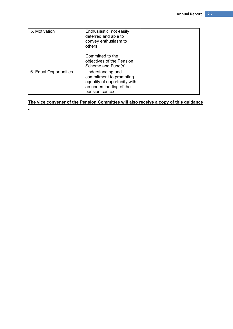| 5. Motivation          | Enthusiastic, not easily<br>deterred and able to<br>convey enthusiasm to<br>others.                                         |  |
|------------------------|-----------------------------------------------------------------------------------------------------------------------------|--|
|                        | Committed to the<br>objectives of the Pension<br>Scheme and Fund(s).                                                        |  |
| 6. Equal Opportunities | Understanding and<br>commitment to promoting<br>equality of opportunity with<br>an understanding of the<br>pension context. |  |

#### **The vice convener of the Pension Committee will also receive a copy of this guidance**

<span id="page-25-0"></span> $\mathbf{r}$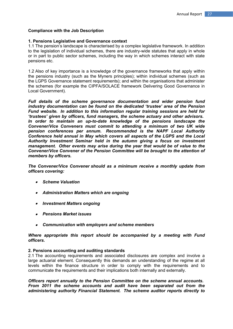#### **Compliance with the Job Description**

#### **1. Pensions Legislative and Governance context**

1.1 The pension's landscape is characterised by a complex legislative framework. In addition to the legislation of individual schemes, there are industry-wide statutes that apply in whole or in part to public sector schemes, including the way in which schemes interact with state pensions etc.

1.2 Also of key importance is a knowledge of the governance frameworks that apply within the pensions industry (such as the Myners principles); within individual schemes (such as the LGPS Governance statement requirements); and within the organisations that administer the schemes (for example the CIPFA/SOLACE framework Delivering Good Governance in Local Government).

*Full details of the scheme governance documentation and wider pension fund industry documentation can be found on the dedicated 'trustee' area of the Pension Fund website. In addition to this information regular training sessions are held for 'trustees' given by officers, fund managers, the scheme actuary and other advisors. In order to maintain an up-to-date knowledge of the pensions landscape the Convener/Vice Conveners must commit to attending a minimum of two UK wide pension conferences per annum. Recommended is the NAPF Local Authority Conference held annual in May which covers all aspects of the LGPS and the Local Authority Investment Seminar held in the autumn giving a focus on investment management. Other events may arise during the year that would be of value to the Convener/Vice Convener of the Pension Committee will be brought to the attention of members by officers.*

*The Convener/Vice Convener should as a minimum receive a monthly update from officers covering:*

- *Scheme Valuation*
- *Administration Matters which are ongoing*
- *Investment Matters ongoing*
- *Pensions Market issues*
- *Communication with employers and scheme members*

#### *Where appropriate this report should be accompanied by a meeting with Fund officers.*

#### **2. Pensions accounting and auditing standards**

2.1 The accounting requirements and associated disclosures are complex and involve a large actuarial element. Consequently this demands an understanding of the regime at all levels within the finance structure in order to comply with the requirements and to communicate the requirements and their implications both internally and externally.

*Officers report annually to the Pension Committee on the scheme annual accounts. From 2011 the scheme accounts and audit have been separated out from the administering authority Financial Statement. The scheme auditor reports directly to*